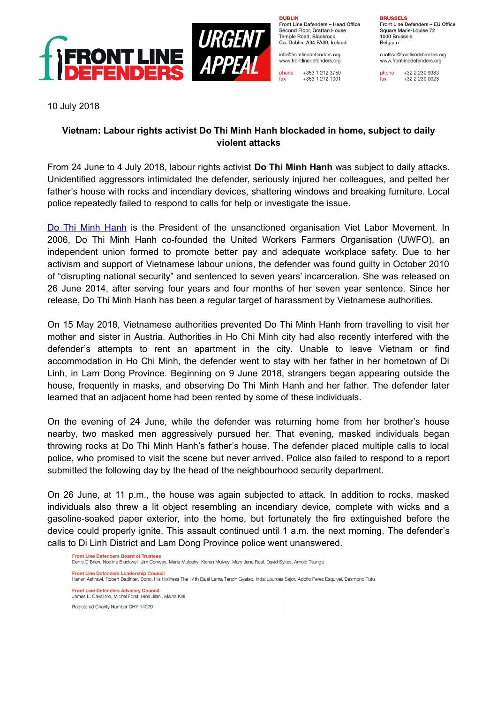

**DURLIN** Front Line Defenders - Head Office Second Floor, Grattan House Temple Boad, Blackrock Co. Dublin, A94 FA39, Ireland

info@frontlinedefenders.org www.frontlinedefenders.org

+353 1 212 3750 phone  $fax$ +353 1 212 1001

**BDHCCELC** Front Line Defenders - EU Office Square Marie-Louise 72

1000 Brussels Belgium

euoffice@frontlinedefenders.org www.frontlinedefenders.org

phone +32 2 230 9383  $fax$  $+3222300028$ 

10 July 2018

## **Vietnam: Labour rights activist Do Thi Minh Hanh blockaded in home, subject to daily violent attacks**

From 24 June to 4 July 2018, labour rights activist **Do Thi Minh Hanh** was subject to daily attacks. Unidentified aggressors intimidated the defender, seriously injured her colleagues, and pelted her father's house with rocks and incendiary devices, shattering windows and breaking furniture. Local police repeatedly failed to respond to calls for help or investigate the issue.

[Do Thi Minh Hanh](https://www.frontlinedefenders.org/en/profile/do-thi-minh-hanh) is the President of the unsanctioned organisation Viet Labor Movement. In 2006, Do Thi Minh Hanh co-founded the United Workers Farmers Organisation (UWFO), an independent union formed to promote better pay and adequate workplace safety. Due to her activism and support of Vietnamese labour unions, the defender was found guilty in October 2010 of "disrupting national security" and sentenced to seven years' incarceration. She was released on 26 June 2014, after serving four years and four months of her seven year sentence. Since her release, Do Thi Minh Hanh has been a regular target of harassment by Vietnamese authorities.

On 15 May 2018, Vietnamese authorities prevented Do Thi Minh Hanh from travelling to visit her mother and sister in Austria. Authorities in Ho Chi Minh city had also recently interfered with the defender's attempts to rent an apartment in the city. Unable to leave Vietnam or find accommodation in Ho Chi Minh, the defender went to stay with her father in her hometown of Di Linh, in Lam Dong Province. Beginning on 9 June 2018, strangers began appearing outside the house, frequently in masks, and observing Do Thi Minh Hanh and her father. The defender later learned that an adjacent home had been rented by some of these individuals.

On the evening of 24 June, while the defender was returning home from her brother's house nearby, two masked men aggressively pursued her. That evening, masked individuals began throwing rocks at Do Thi Minh Hanh's father's house. The defender placed multiple calls to local police, who promised to visit the scene but never arrived. Police also failed to respond to a report submitted the following day by the head of the neighbourhood security department.

On 26 June, at 11 p.m., the house was again subjected to attack. In addition to rocks, masked individuals also threw a lit object resembling an incendiary device, complete with wicks and a gasoline-soaked paper exterior, into the home, but fortunately the fire extinguished before the device could properly ignite. This assault continued until 1 a.m. the next morning. The defender's calls to Di Linh District and Lam Dong Province police went unanswered.

Denis O'Brien, Noeline Blackwell, Jim Conway, Maria Mulcahy, Kieran Mulvey, Mary Jane Real, David Sykes, Arnold Tsunga

Front Line Defenders Leadership Council

Front Line Defenders Board of Trustees

r unit and a strain in the statement of the Holiness The 14th Dalai Lama Tenzin Gyatso, Indai Lourdes Sajor, Adolfo Perez Esquivel, Desmond Tutu **Front Line Defenders Advisory Council** James L. Cavallaro, Michel Forst, Hina Jilani, Maina Kiai Registered Charity Number CHY 14029